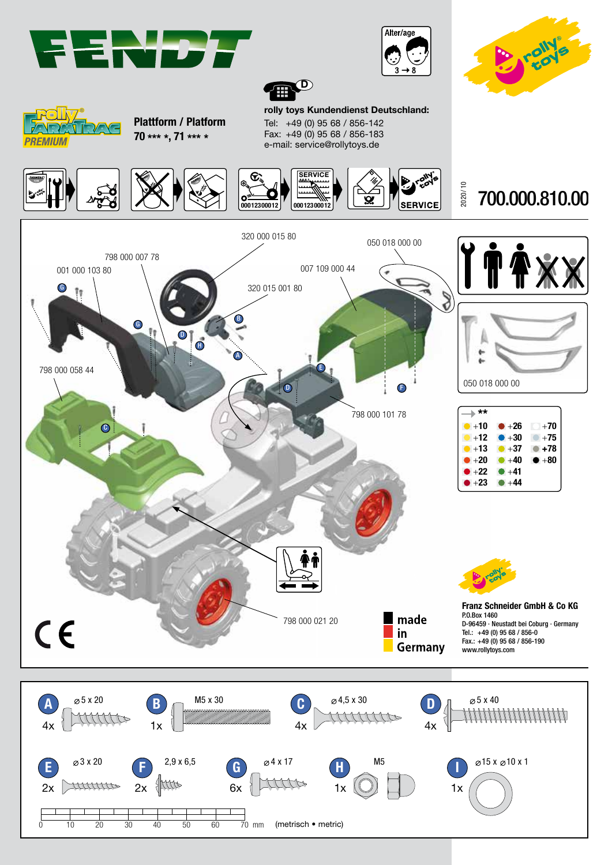







Plattform / Platform 70 \*\*\* \*, 71 \*\*\* \*

rolly toys Kundendienst Deutschland: Tel: +49 (0) 95 68 / 856-142 Fax: +49 (0) 95 68 / 856-183 e-mail: service@rollytoys.de

 $\mathbf D$ 

Ð